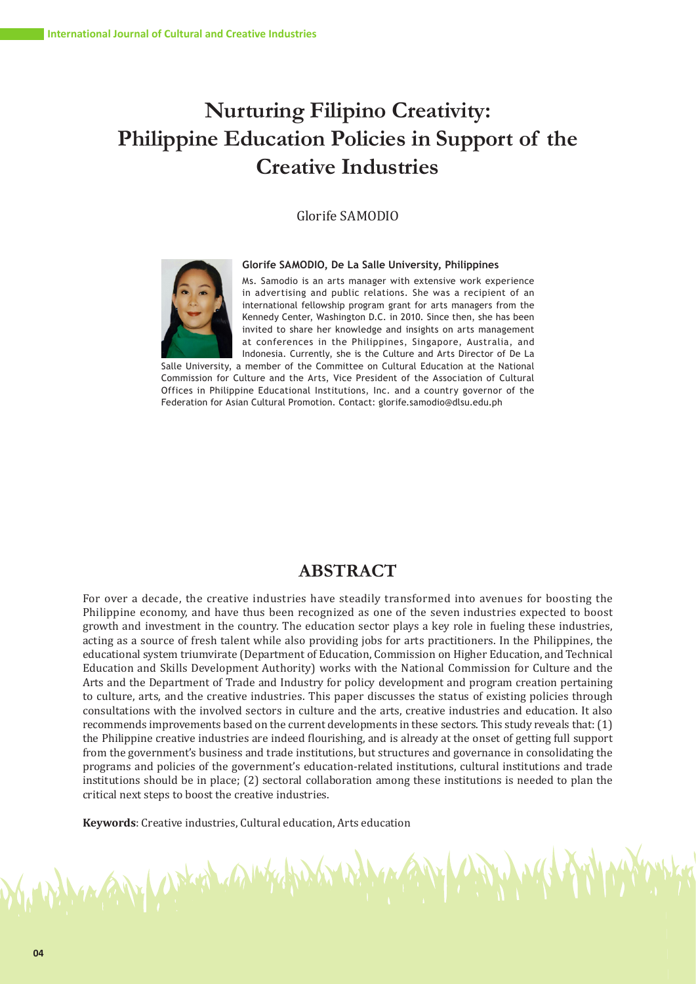# **Nurturing Filipino Creativity: Philippine Education Policies in Support of the Creative Industries**

## Glorife SAMODIO

**Glorife SAMODIO, De La Salle University, Philippines**



Ms. Samodio is an arts manager with extensive work experience in advertising and public relations. She was a recipient of an international fellowship program grant for arts managers from the Kennedy Center, Washington D.C. in 2010. Since then, she has been invited to share her knowledge and insights on arts management at conferences in the Philippines, Singapore, Australia, and Indonesia. Currently, she is the Culture and Arts Director of De La

Salle University, a member of the Committee on Cultural Education at the National Commission for Culture and the Arts, Vice President of the Association of Cultural Offices in Philippine Educational Institutions, Inc. and a country governor of the Federation for Asian Cultural Promotion. Contact: glorife.samodio@dlsu.edu.ph

## **ABSTRACT**

For over a decade, the creative industries have steadily transformed into avenues for boosting the Philippine economy, and have thus been recognized as one of the seven industries expected to boost growth and investment in the country. The education sector plays a key role in fueling these industries, acting as a source of fresh talent while also providing jobs for arts practitioners. In the Philippines, the educational system triumvirate (Department of Education, Commission on Higher Education, and Technical Education and Skills Development Authority) works with the National Commission for Culture and the Arts and the Department of Trade and Industry for policy development and program creation pertaining to culture, arts, and the creative industries. This paper discusses the status of existing policies through consultations with the involved sectors in culture and the arts, creative industries and education. It also recommends improvements based on the current developments in these sectors. This study reveals that: (1) the Philippine creative industries are indeed flourishing, and is already at the onset of getting full support from the government's business and trade institutions, but structures and governance in consolidating the programs and policies of the government's education-related institutions, cultural institutions and trade institutions should be in place; (2) sectoral collaboration among these institutions is needed to plan the critical next steps to boost the creative industries.

**Keywords**: Creative industries, Cultural education, Arts education

ANY WARD CALL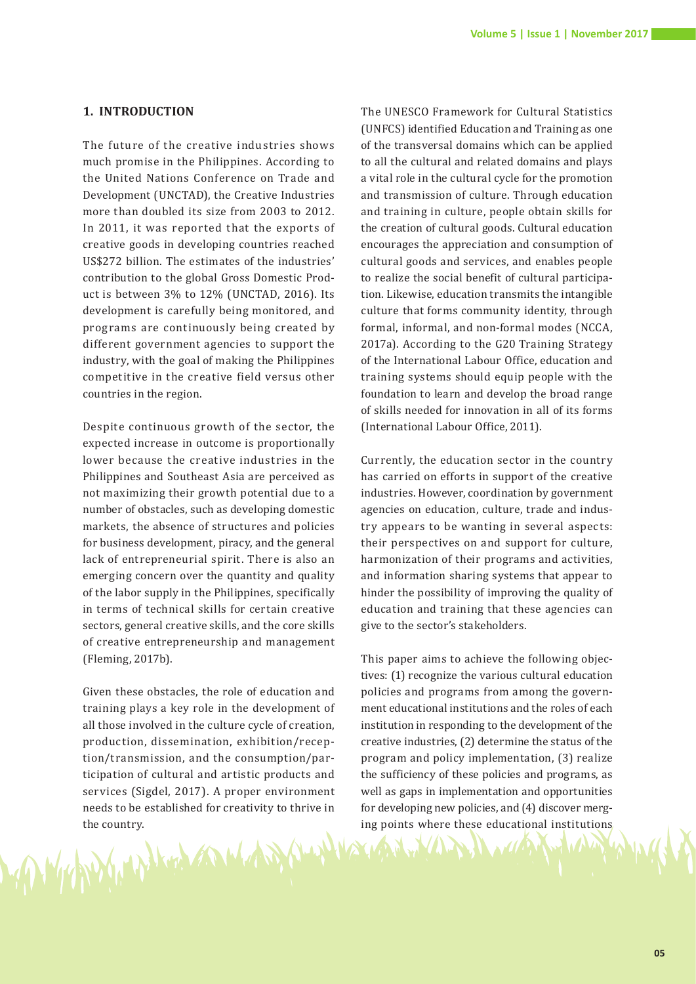## **1. INTRODUCTION**

The future of the creative industries shows much promise in the Philippines. According to the United Nations Conference on Trade and Development (UNCTAD), the Creative Industries more than doubled its size from 2003 to 2012. In 2011, it was reported that the exports of creative goods in developing countries reached US\$272 billion. The estimates of the industries' contribution to the global Gross Domestic Product is between 3% to 12% (UNCTAD, 2016). Its development is carefully being monitored, and programs are continuously being created by different government agencies to support the industry, with the goal of making the Philippines competitive in the creative field versus other countries in the region.

Despite continuous growth of the sector, the expected increase in outcome is proportionally lower because the creative industries in the Philippines and Southeast Asia are perceived as not maximizing their growth potential due to a number of obstacles, such as developing domestic markets, the absence of structures and policies for business development, piracy, and the general lack of entrepreneurial spirit. There is also an emerging concern over the quantity and quality of the labor supply in the Philippines, specifically in terms of technical skills for certain creative sectors, general creative skills, and the core skills of creative entrepreneurship and management (Fleming, 2017b).

Given these obstacles, the role of education and training plays a key role in the development of all those involved in the culture cycle of creation, production, dissemination, exhibition/reception/transmission, and the consumption/participation of cultural and artistic products and services (Sigdel, 2017). A proper environment needs to be established for creativity to thrive in the country. The UNESCO Framework for Cultural Statistics (UNFCS) identified Education and Training as one of the transversal domains which can be applied to all the cultural and related domains and plays a vital role in the cultural cycle for the promotion and transmission of culture. Through education and training in culture, people obtain skills for the creation of cultural goods. Cultural education encourages the appreciation and consumption of cultural goods and services, and enables people to realize the social benefit of cultural participation. Likewise, education transmits the intangible culture that forms community identity, through formal, informal, and non-formal modes (NCCA, 2017a). According to the G20 Training Strategy of the International Labour Office, education and training systems should equip people with the foundation to learn and develop the broad range of skills needed for innovation in all of its forms (International Labour Office, 2011).

Currently, the education sector in the country has carried on efforts in support of the creative industries. However, coordination by government agencies on education, culture, trade and industry appears to be wanting in several aspects: their perspectives on and support for culture, harmonization of their programs and activities, and information sharing systems that appear to hinder the possibility of improving the quality of education and training that these agencies can give to the sector's stakeholders.

This paper aims to achieve the following objectives: (1) recognize the various cultural education policies and programs from among the government educational institutions and the roles of each institution in responding to the development of the creative industries, (2) determine the status of the program and policy implementation, (3) realize the sufficiency of these policies and programs, as well as gaps in implementation and opportunities for developing new policies, and (4) discover merging points where these educational institutions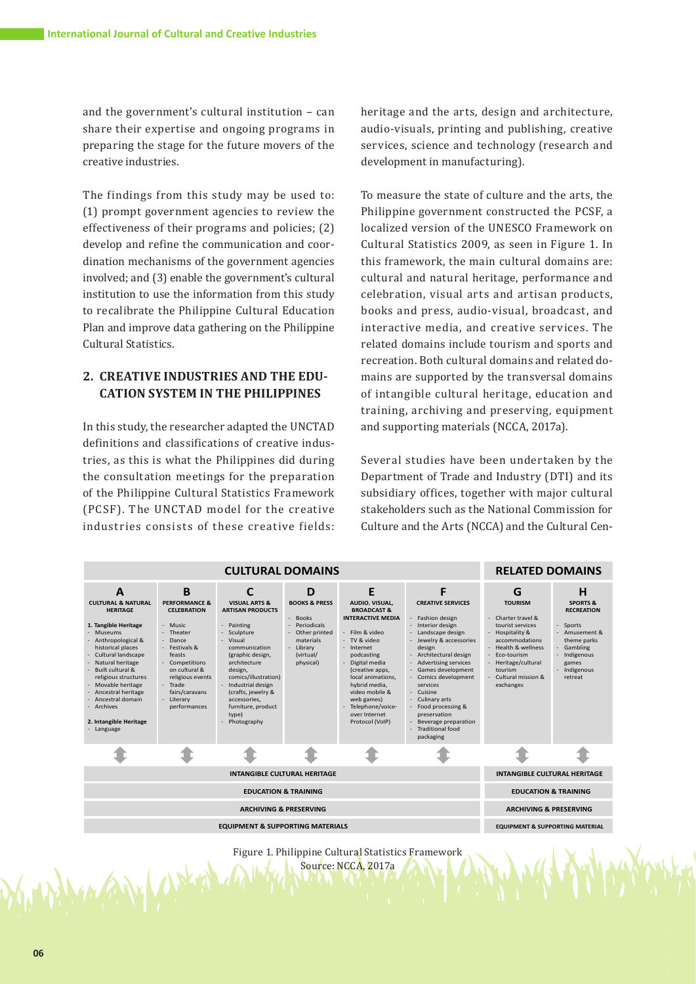and the government's cultural institution – can share their expertise and ongoing programs in preparing the stage for the future movers of the creative industries.

The findings from this study may be used to: (1) prompt government agencies to review the effectiveness of their programs and policies; (2) develop and refine the communication and coordination mechanisms of the government agencies involved; and (3) enable the government's cultural institution to use the information from this study to recalibrate the Philippine Cultural Education Plan and improve data gathering on the Philippine Cultural Statistics.

## **2. CREATIVE INDUSTRIES AND THE EDU-CATION SYSTEM IN THE PHILIPPINES**

In this study, the researcher adapted the UNCTAD definitions and classifications of creative industries, as this is what the Philippines did during the consultation meetings for the preparation of the Philippine Cultural Statistics Framework (PCSF). The UNCTAD model for the creative industries consists of these creative fields: heritage and the arts, design and architecture, audio-visuals, printing and publishing, creative services, science and technology (research and development in manufacturing).

To measure the state of culture and the arts, the Philippine government constructed the PCSF, a localized version of the UNESCO Framework on Cultural Statistics 2009, as seen in Figure 1. In this framework, the main cultural domains are: cultural and natural heritage, performance and celebration, visual arts and artisan products, books and press, audio-visual, broadcast, and interactive media, and creative services. The related domains include tourism and sports and recreation. Both cultural domains and related domains are supported by the transversal domains of intangible cultural heritage, education and training, archiving and preserving, equipment and supporting materials (NCCA, 2017a).

Several studies have been undertaken by the Department of Trade and Industry (DTI) and its subsidiary offices, together with major cultural stakeholders such as the National Commission for Culture and the Arts (NCCA) and the Cultural Cen-



Figure 1. Philippine Cultural Statistics Framework Source: NCCA, 2017a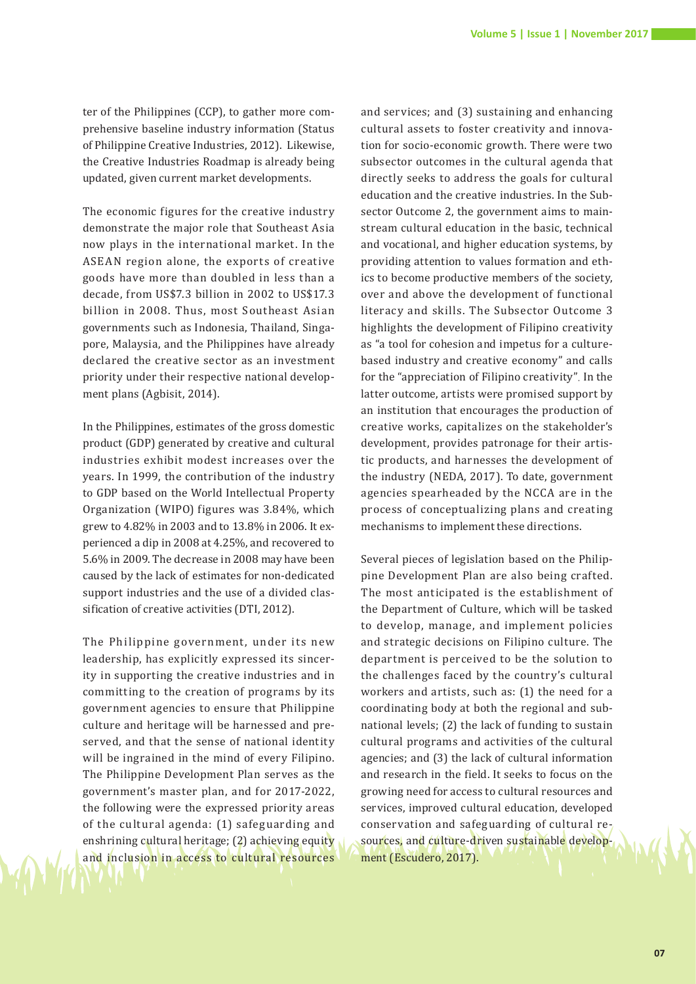ter of the Philippines (CCP), to gather more comprehensive baseline industry information (Status of Philippine Creative Industries, 2012). Likewise, the Creative Industries Roadmap is already being updated, given current market developments.

The economic figures for the creative industry demonstrate the major role that Southeast Asia now plays in the international market. In the ASEAN region alone, the exports of creative goods have more than doubled in less than a decade, from US\$7.3 billion in 2002 to US\$17.3 billion in 2008. Thus, most Southeast Asian governments such as Indonesia, Thailand, Singapore, Malaysia, and the Philippines have already declared the creative sector as an investment priority under their respective national development plans (Agbisit, 2014).

In the Philippines, estimates of the gross domestic product (GDP) generated by creative and cultural industries exhibit modest increases over the years. In 1999, the contribution of the industry to GDP based on the World Intellectual Property Organization (WIPO) figures was 3.84%, which grew to 4.82% in 2003 and to 13.8% in 2006. It experienced a dip in 2008 at 4.25%, and recovered to 5.6% in 2009. The decrease in 2008 may have been caused by the lack of estimates for non-dedicated support industries and the use of a divided classification of creative activities (DTI, 2012).

The Philippine government, under its new leadership, has explicitly expressed its sincerity in supporting the creative industries and in committing to the creation of programs by its government agencies to ensure that Philippine culture and heritage will be harnessed and preserved, and that the sense of national identity will be ingrained in the mind of every Filipino. The Philippine Development Plan serves as the government's master plan, and for 2017-2022, the following were the expressed priority areas of the cultural agenda: (1) safeguarding and enshrining cultural heritage; (2) achieving equity and inclusion in access to cultural resources

and services; and (3) sustaining and enhancing cultural assets to foster creativity and innovation for socio-economic growth. There were two subsector outcomes in the cultural agenda that directly seeks to address the goals for cultural education and the creative industries. In the Subsector Outcome 2, the government aims to mainstream cultural education in the basic, technical and vocational, and higher education systems, by providing attention to values formation and ethics to become productive members of the society, over and above the development of functional literacy and skills. The Subsector Outcome 3 highlights the development of Filipino creativity as "a tool for cohesion and impetus for a culturebased industry and creative economy" and calls for the "appreciation of Filipino creativity". In the latter outcome, artists were promised support by an institution that encourages the production of creative works, capitalizes on the stakeholder's development, provides patronage for their artistic products, and harnesses the development of the industry (NEDA, 2017). To date, government agencies spearheaded by the NCCA are in the process of conceptualizing plans and creating mechanisms to implement these directions.

Several pieces of legislation based on the Philippine Development Plan are also being crafted. The most anticipated is the establishment of the Department of Culture, which will be tasked to develop, manage, and implement policies and strategic decisions on Filipino culture. The department is perceived to be the solution to the challenges faced by the country's cultural workers and artists, such as: (1) the need for a coordinating body at both the regional and subnational levels; (2) the lack of funding to sustain cultural programs and activities of the cultural agencies; and (3) the lack of cultural information and research in the field. It seeks to focus on the growing need for access to cultural resources and services, improved cultural education, developed conservation and safeguarding of cultural resources, and culture-driven sustainable development (Escudero, 2017).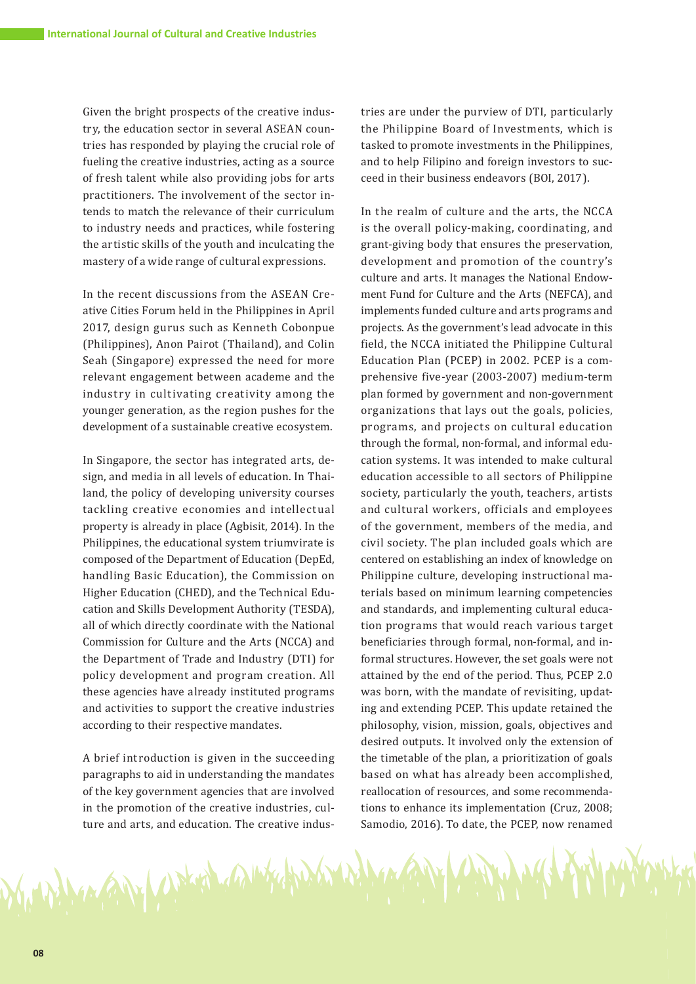Given the bright prospects of the creative industry, the education sector in several ASEAN countries has responded by playing the crucial role of fueling the creative industries, acting as a source of fresh talent while also providing jobs for arts practitioners. The involvement of the sector intends to match the relevance of their curriculum to industry needs and practices, while fostering the artistic skills of the youth and inculcating the mastery of a wide range of cultural expressions.

In the recent discussions from the ASEAN Creative Cities Forum held in the Philippines in April 2017, design gurus such as Kenneth Cobonpue (Philippines), Anon Pairot (Thailand), and Colin Seah (Singapore) expressed the need for more relevant engagement between academe and the industry in cultivating creativity among the younger generation, as the region pushes for the development of a sustainable creative ecosystem.

In Singapore, the sector has integrated arts, design, and media in all levels of education. In Thailand, the policy of developing university courses tackling creative economies and intellectual property is already in place (Agbisit, 2014). In the Philippines, the educational system triumvirate is composed of the Department of Education (DepEd, handling Basic Education), the Commission on Higher Education (CHED), and the Technical Education and Skills Development Authority (TESDA), all of which directly coordinate with the National Commission for Culture and the Arts (NCCA) and the Department of Trade and Industry (DTI) for policy development and program creation. All these agencies have already instituted programs and activities to support the creative industries according to their respective mandates.

A brief introduction is given in the succeeding paragraphs to aid in understanding the mandates of the key government agencies that are involved in the promotion of the creative industries, culture and arts, and education. The creative indus-

Mar England Company

tries are under the purview of DTI, particularly the Philippine Board of Investments, which is tasked to promote investments in the Philippines, and to help Filipino and foreign investors to succeed in their business endeavors (BOI, 2017).

In the realm of culture and the arts, the NCCA is the overall policy-making, coordinating, and grant-giving body that ensures the preservation, development and promotion of the country's culture and arts. It manages the National Endowment Fund for Culture and the Arts (NEFCA), and implements funded culture and arts programs and projects. As the government's lead advocate in this field, the NCCA initiated the Philippine Cultural Education Plan (PCEP) in 2002. PCEP is a comprehensive five-year (2003-2007) medium-term plan formed by government and non-government organizations that lays out the goals, policies, programs, and projects on cultural education through the formal, non-formal, and informal education systems. It was intended to make cultural education accessible to all sectors of Philippine society, particularly the youth, teachers, artists and cultural workers, officials and employees of the government, members of the media, and civil society. The plan included goals which are centered on establishing an index of knowledge on Philippine culture, developing instructional materials based on minimum learning competencies and standards, and implementing cultural education programs that would reach various target beneficiaries through formal, non-formal, and informal structures. However, the set goals were not attained by the end of the period. Thus, PCEP 2.0 was born, with the mandate of revisiting, updating and extending PCEP. This update retained the philosophy, vision, mission, goals, objectives and desired outputs. It involved only the extension of the timetable of the plan, a prioritization of goals based on what has already been accomplished, reallocation of resources, and some recommendations to enhance its implementation (Cruz, 2008; Samodio, 2016). To date, the PCEP, now renamed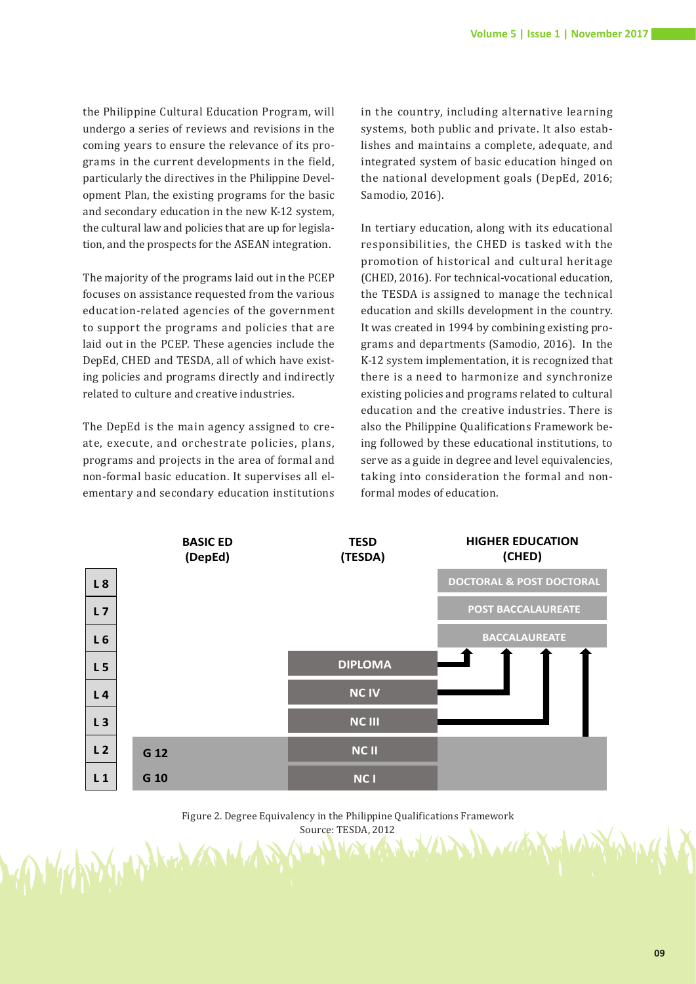the Philippine Cultural Education Program, will undergo a series of reviews and revisions in the coming years to ensure the relevance of its programs in the current developments in the field, particularly the directives in the Philippine Development Plan, the existing programs for the basic and secondary education in the new K-12 system, the cultural law and policies that are up for legislation, and the prospects for the ASEAN integration.

The majority of the programs laid out in the PCEP focuses on assistance requested from the various education-related agencies of the government to support the programs and policies that are laid out in the PCEP. These agencies include the DepEd, CHED and TESDA, all of which have existing policies and programs directly and indirectly related to culture and creative industries.

The DepEd is the main agency assigned to create, execute, and orchestrate policies, plans, programs and projects in the area of formal and non-formal basic education. It supervises all elementary and secondary education institutions in the country, including alternative learning systems, both public and private. It also establishes and maintains a complete, adequate, and integrated system of basic education hinged on the national development goals (DepEd, 2016; Samodio, 2016).

In tertiary education, along with its educational responsibilities, the CHED is tasked with the promotion of historical and cultural heritage (CHED, 2016). For technical-vocational education, the TESDA is assigned to manage the technical education and skills development in the country. It was created in 1994 by combining existing programs and departments (Samodio, 2016). In the K-12 system implementation, it is recognized that there is a need to harmonize and synchronize existing policies and programs related to cultural education and the creative industries. There is also the Philippine Qualifications Framework being followed by these educational institutions, to serve as a guide in degree and level equivalencies, taking into consideration the formal and nonformal modes of education.



Figure 2. Degree Equivalency in the Philippine Qualifications Framework Source: TESDA, 2012 Wychon Hallen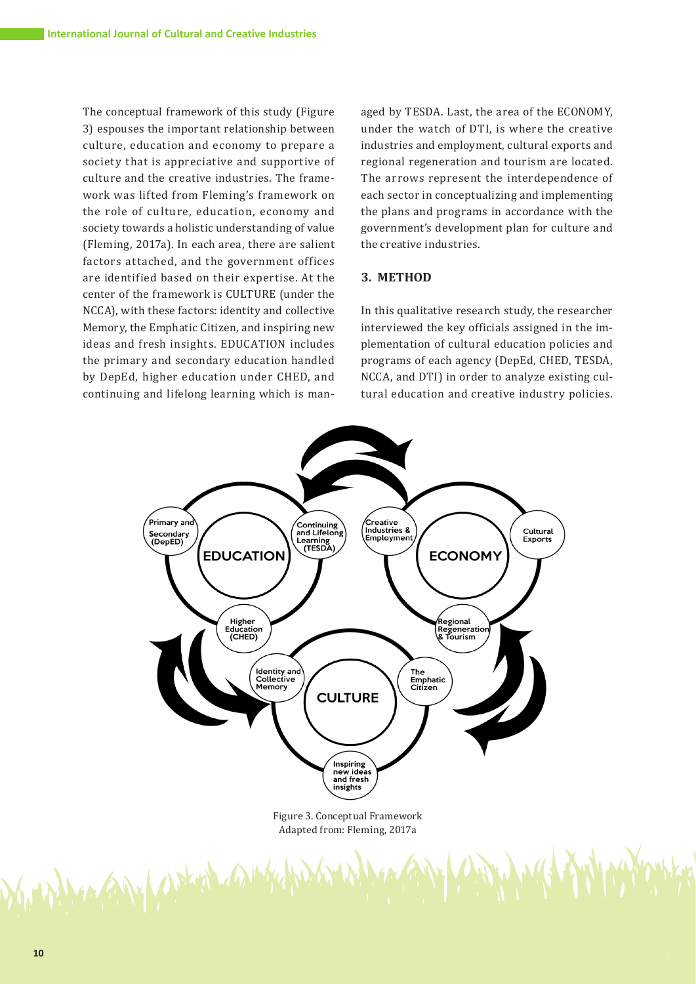The conceptual framework of this study (Figure 3) espouses the important relationship between culture, education and economy to prepare a society that is appreciative and supportive of culture and the creative industries. The framework was lifted from Fleming's framework on the role of culture, education, economy and society towards a holistic understanding of value (Fleming, 2017a). In each area, there are salient factors attached, and the government offices are identified based on their expertise. At the center of the framework is CULTURE (under the NCCA), with these factors: identity and collective Memory, the Emphatic Citizen, and inspiring new ideas and fresh insights. EDUCATION includes the primary and secondary education handled by DepEd, higher education under CHED, and continuing and lifelong learning which is managed by TESDA. Last, the area of the ECONOMY, under the watch of DTI, is where the creative industries and employment, cultural exports and regional regeneration and tourism are located. The arrows represent the interdependence of each sector in conceptualizing and implementing the plans and programs in accordance with the government's development plan for culture and the creative industries.

## **3. METHOD**

In this qualitative research study, the researcher interviewed the key officials assigned in the implementation of cultural education policies and programs of each agency (DepEd, CHED, TESDA, NCCA, and DTI) in order to analyze existing cultural education and creative industry policies.



Figure 3. Conceptual Framework Adapted from: Fleming, 2017a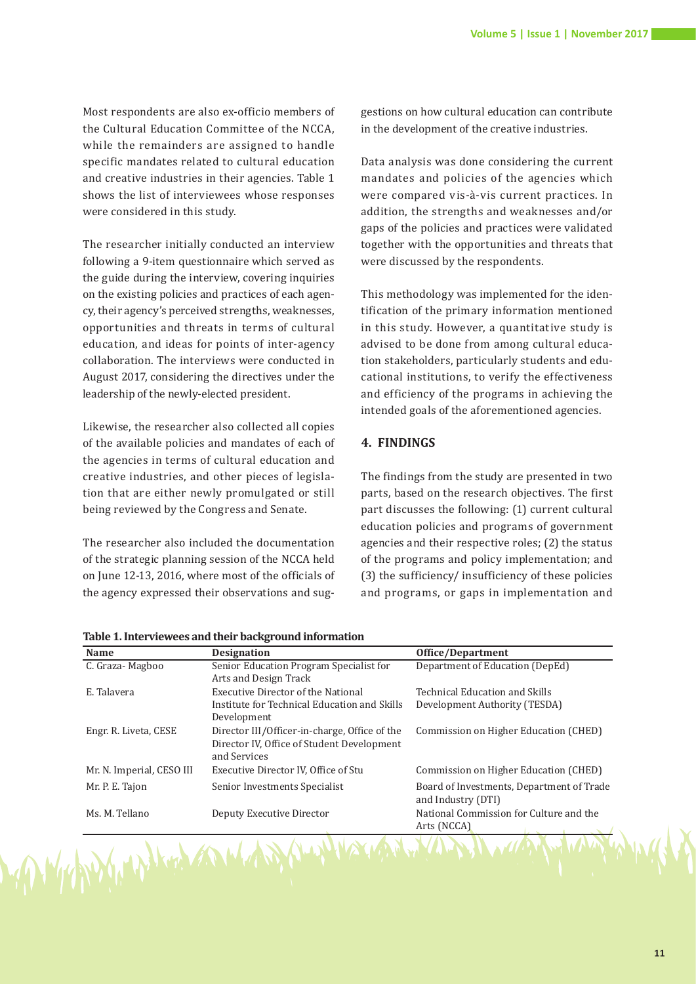Most respondents are also ex-officio members of the Cultural Education Committee of the NCCA, while the remainders are assigned to handle specific mandates related to cultural education and creative industries in their agencies. Table 1 shows the list of interviewees whose responses were considered in this study.

The researcher initially conducted an interview following a 9-item questionnaire which served as the guide during the interview, covering inquiries on the existing policies and practices of each agency, their agency's perceived strengths, weaknesses, opportunities and threats in terms of cultural education, and ideas for points of inter-agency collaboration. The interviews were conducted in August 2017, considering the directives under the leadership of the newly-elected president.

Likewise, the researcher also collected all copies of the available policies and mandates of each of the agencies in terms of cultural education and creative industries, and other pieces of legislation that are either newly promulgated or still being reviewed by the Congress and Senate.

The researcher also included the documentation of the strategic planning session of the NCCA held on June 12-13, 2016, where most of the officials of the agency expressed their observations and suggestions on how cultural education can contribute in the development of the creative industries.

Data analysis was done considering the current mandates and policies of the agencies which were compared vis-à-vis current practices. In addition, the strengths and weaknesses and/or gaps of the policies and practices were validated together with the opportunities and threats that were discussed by the respondents.

This methodology was implemented for the identification of the primary information mentioned in this study. However, a quantitative study is advised to be done from among cultural education stakeholders, particularly students and educational institutions, to verify the effectiveness and efficiency of the programs in achieving the intended goals of the aforementioned agencies.

## **4. FINDINGS**

The findings from the study are presented in two parts, based on the research objectives. The first part discusses the following: (1) current cultural education policies and programs of government agencies and their respective roles; (2) the status of the programs and policy implementation; and (3) the sufficiency/ insufficiency of these policies and programs, or gaps in implementation and

|                                                                                                             | Office/Department                                               |
|-------------------------------------------------------------------------------------------------------------|-----------------------------------------------------------------|
| Senior Education Program Specialist for<br>Arts and Design Track                                            | Department of Education (DepEd)                                 |
| <b>Executive Director of the National</b><br>Institute for Technical Education and Skills<br>Development    | Technical Education and Skills<br>Development Authority (TESDA) |
| Director III/Officer-in-charge, Office of the<br>Director IV, Office of Student Development<br>and Services | Commission on Higher Education (CHED)                           |
| Executive Director IV, Office of Stu                                                                        | Commission on Higher Education (CHED)                           |
| Senior Investments Specialist                                                                               | Board of Investments, Department of Trade<br>and Industry (DTI) |
| Deputy Executive Director                                                                                   | National Commission for Culture and the<br>Arts (NCCA)          |
|                                                                                                             |                                                                 |
|                                                                                                             | <b>Designation</b><br>LINKE ANGENOUNCE                          |

**Table 1. Interviewees and their background information**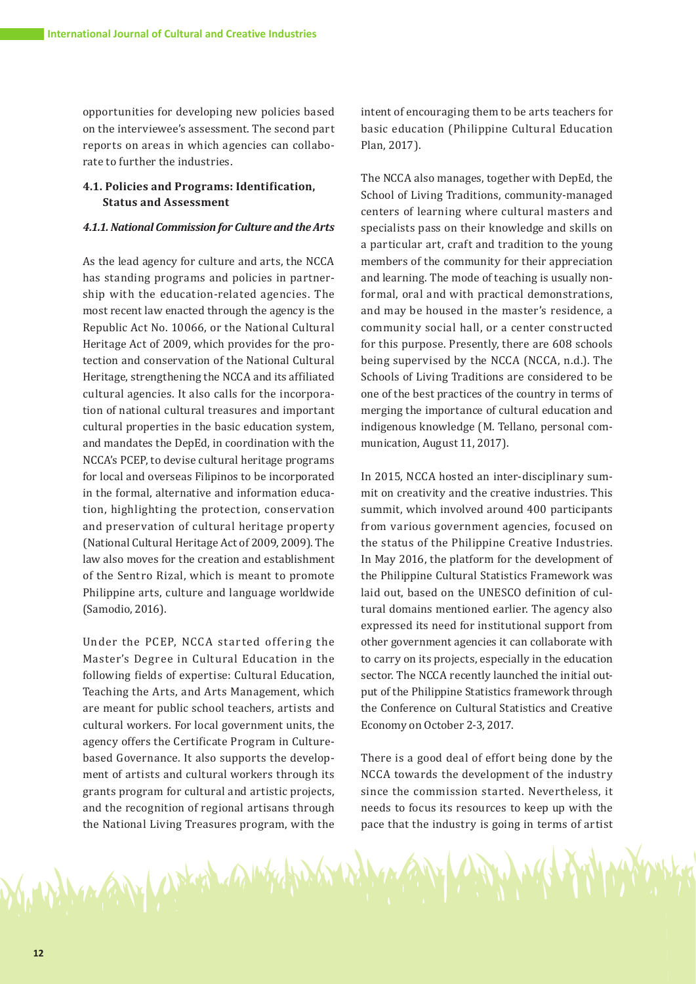opportunities for developing new policies based on the interviewee's assessment. The second part reports on areas in which agencies can collaborate to further the industries.

## **4.1. Policies and Programs: Identification, Status and Assessment**

#### *4.1.1. National Commission for Culture and the Arts*

As the lead agency for culture and arts, the NCCA has standing programs and policies in partnership with the education-related agencies. The most recent law enacted through the agency is the Republic Act No. 10066, or the National Cultural Heritage Act of 2009, which provides for the protection and conservation of the National Cultural Heritage, strengthening the NCCA and its affiliated cultural agencies. It also calls for the incorporation of national cultural treasures and important cultural properties in the basic education system, and mandates the DepEd, in coordination with the NCCA's PCEP, to devise cultural heritage programs for local and overseas Filipinos to be incorporated in the formal, alternative and information education, highlighting the protection, conservation and preservation of cultural heritage property (National Cultural Heritage Act of 2009, 2009). The law also moves for the creation and establishment of the Sentro Rizal, which is meant to promote Philippine arts, culture and language worldwide (Samodio, 2016).

Under the PCEP, NCCA started offering the Master's Degree in Cultural Education in the following fields of expertise: Cultural Education, Teaching the Arts, and Arts Management, which are meant for public school teachers, artists and cultural workers. For local government units, the agency offers the Certificate Program in Culturebased Governance. It also supports the development of artists and cultural workers through its grants program for cultural and artistic projects, and the recognition of regional artisans through the National Living Treasures program, with the

Magary Worker and With

intent of encouraging them to be arts teachers for basic education (Philippine Cultural Education Plan, 2017).

The NCCA also manages, together with DepEd, the School of Living Traditions, community-managed centers of learning where cultural masters and specialists pass on their knowledge and skills on a particular art, craft and tradition to the young members of the community for their appreciation and learning. The mode of teaching is usually nonformal, oral and with practical demonstrations, and may be housed in the master's residence, a community social hall, or a center constructed for this purpose. Presently, there are 608 schools being supervised by the NCCA (NCCA, n.d.). The Schools of Living Traditions are considered to be one of the best practices of the country in terms of merging the importance of cultural education and indigenous knowledge (M. Tellano, personal communication, August 11, 2017).

In 2015, NCCA hosted an inter-disciplinary summit on creativity and the creative industries. This summit, which involved around 400 participants from various government agencies, focused on the status of the Philippine Creative Industries. In May 2016, the platform for the development of the Philippine Cultural Statistics Framework was laid out, based on the UNESCO definition of cultural domains mentioned earlier. The agency also expressed its need for institutional support from other government agencies it can collaborate with to carry on its projects, especially in the education sector. The NCCA recently launched the initial output of the Philippine Statistics framework through the Conference on Cultural Statistics and Creative Economy on October 2-3, 2017.

There is a good deal of effort being done by the NCCA towards the development of the industry since the commission started. Nevertheless, it needs to focus its resources to keep up with the pace that the industry is going in terms of artist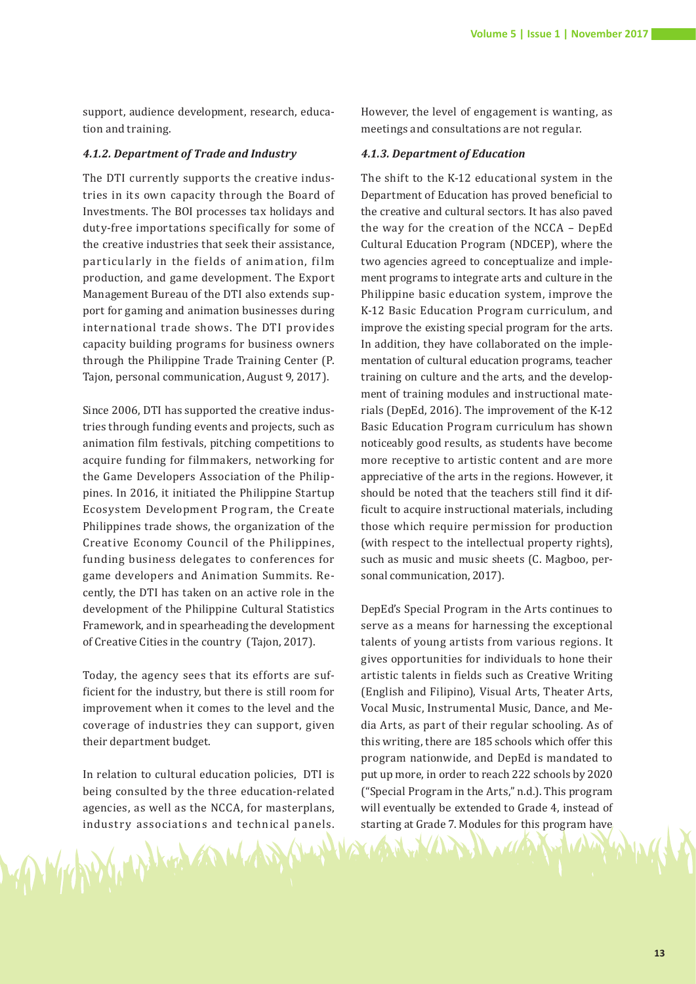support, audience development, research, education and training.

#### *4.1.2. Department of Trade and Industry*

The DTI currently supports the creative industries in its own capacity through the Board of Investments. The BOI processes tax holidays and duty-free importations specifically for some of the creative industries that seek their assistance, particularly in the fields of animation, film production, and game development. The Export Management Bureau of the DTI also extends support for gaming and animation businesses during international trade shows. The DTI provides capacity building programs for business owners through the Philippine Trade Training Center (P. Tajon, personal communication, August 9, 2017).

Since 2006, DTI has supported the creative industries through funding events and projects, such as animation film festivals, pitching competitions to acquire funding for filmmakers, networking for the Game Developers Association of the Philippines. In 2016, it initiated the Philippine Startup Ecosystem Development Program, the Create Philippines trade shows, the organization of the Creative Economy Council of the Philippines, funding business delegates to conferences for game developers and Animation Summits. Recently, the DTI has taken on an active role in the development of the Philippine Cultural Statistics Framework, and in spearheading the development of Creative Cities in the country (Tajon, 2017).

Today, the agency sees that its efforts are sufficient for the industry, but there is still room for improvement when it comes to the level and the coverage of industries they can support, given their department budget.

In relation to cultural education policies, DTI is being consulted by the three education-related agencies, as well as the NCCA, for masterplans, industry associations and technical panels.

However, the level of engagement is wanting, as meetings and consultations are not regular.

#### *4.1.3. Department of Education*

The shift to the K-12 educational system in the Department of Education has proved beneficial to the creative and cultural sectors. It has also paved the way for the creation of the NCCA – DepEd Cultural Education Program (NDCEP), where the two agencies agreed to conceptualize and implement programs to integrate arts and culture in the Philippine basic education system, improve the K-12 Basic Education Program curriculum, and improve the existing special program for the arts. In addition, they have collaborated on the implementation of cultural education programs, teacher training on culture and the arts, and the development of training modules and instructional materials (DepEd, 2016). The improvement of the K-12 Basic Education Program curriculum has shown noticeably good results, as students have become more receptive to artistic content and are more appreciative of the arts in the regions. However, it should be noted that the teachers still find it difficult to acquire instructional materials, including those which require permission for production (with respect to the intellectual property rights), such as music and music sheets (C. Magboo, personal communication, 2017).

DepEd's Special Program in the Arts continues to serve as a means for harnessing the exceptional talents of young artists from various regions. It gives opportunities for individuals to hone their artistic talents in fields such as Creative Writing (English and Filipino), Visual Arts, Theater Arts, Vocal Music, Instrumental Music, Dance, and Media Arts, as part of their regular schooling. As of this writing, there are 185 schools which offer this program nationwide, and DepEd is mandated to put up more, in order to reach 222 schools by 2020 ("Special Program in the Arts," n.d.). This program will eventually be extended to Grade 4, instead of starting at Grade 7. Modules for this program have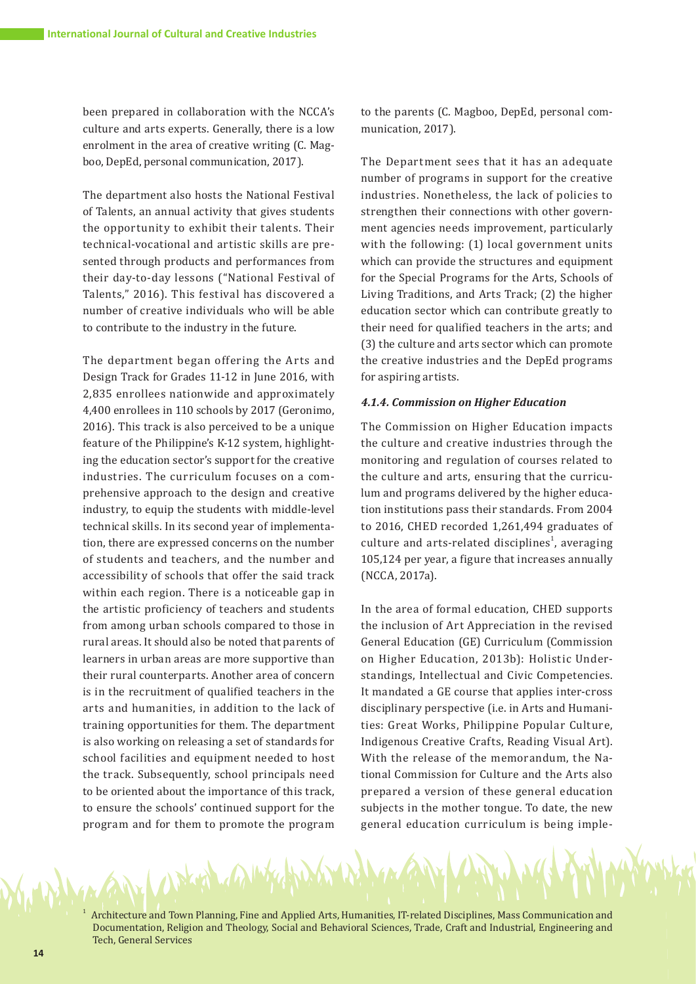been prepared in collaboration with the NCCA's culture and arts experts. Generally, there is a low enrolment in the area of creative writing (C. Magboo, DepEd, personal communication, 2017).

The department also hosts the National Festival of Talents, an annual activity that gives students the opportunity to exhibit their talents. Their technical-vocational and artistic skills are presented through products and performances from their day-to-day lessons ("National Festival of Talents," 2016). This festival has discovered a number of creative individuals who will be able to contribute to the industry in the future.

The department began offering the Arts and Design Track for Grades 11-12 in June 2016, with 2,835 enrollees nationwide and approximately 4,400 enrollees in 110 schools by 2017 (Geronimo, 2016). This track is also perceived to be a unique feature of the Philippine's K-12 system, highlighting the education sector's support for the creative industries. The curriculum focuses on a comprehensive approach to the design and creative industry, to equip the students with middle-level technical skills. In its second year of implementation, there are expressed concerns on the number of students and teachers, and the number and accessibility of schools that offer the said track within each region. There is a noticeable gap in the artistic proficiency of teachers and students from among urban schools compared to those in rural areas. It should also be noted that parents of learners in urban areas are more supportive than their rural counterparts. Another area of concern is in the recruitment of qualified teachers in the arts and humanities, in addition to the lack of training opportunities for them. The department is also working on releasing a set of standards for school facilities and equipment needed to host the track. Subsequently, school principals need to be oriented about the importance of this track, to ensure the schools' continued support for the program and for them to promote the program to the parents (C. Magboo, DepEd, personal communication, 2017).

The Department sees that it has an adequate number of programs in support for the creative industries. Nonetheless, the lack of policies to strengthen their connections with other government agencies needs improvement, particularly with the following: (1) local government units which can provide the structures and equipment for the Special Programs for the Arts, Schools of Living Traditions, and Arts Track; (2) the higher education sector which can contribute greatly to their need for qualified teachers in the arts; and (3) the culture and arts sector which can promote the creative industries and the DepEd programs for aspiring artists.

#### *4.1.4. Commission on Higher Education*

The Commission on Higher Education impacts the culture and creative industries through the monitoring and regulation of courses related to the culture and arts, ensuring that the curriculum and programs delivered by the higher education institutions pass their standards. From 2004 to 2016, CHED recorded 1,261,494 graduates of culture and arts-related disciplines<sup>1</sup>, averaging 105,124 per year, a figure that increases annually (NCCA, 2017a).

In the area of formal education, CHED supports the inclusion of Art Appreciation in the revised General Education (GE) Curriculum (Commission on Higher Education, 2013b): Holistic Understandings, Intellectual and Civic Competencies. It mandated a GE course that applies inter-cross disciplinary perspective (i.e. in Arts and Humanities: Great Works, Philippine Popular Culture, Indigenous Creative Crafts, Reading Visual Art). With the release of the memorandum, the National Commission for Culture and the Arts also prepared a version of these general education subjects in the mother tongue. To date, the new general education curriculum is being imple-

1 Architecture and Town Planning, Fine and Applied Arts, Humanities, IT-related Disciplines, Mass Communication and Documentation, Religion and Theology, Social and Behavioral Sciences, Trade, Craft and Industrial, Engineering and Tech, General Services

Controllection of the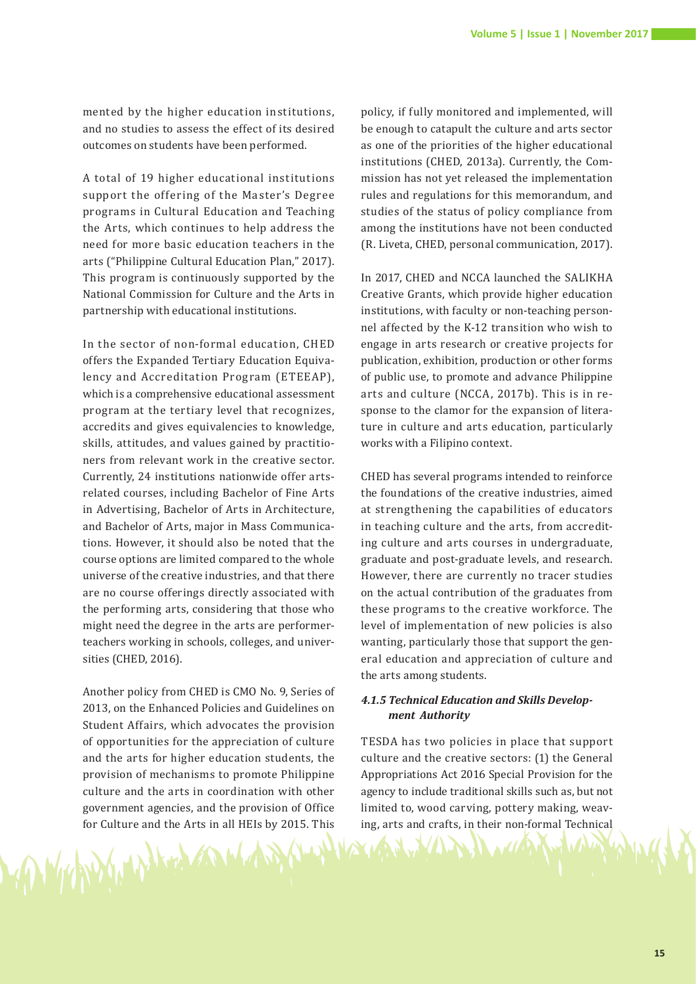mented by the higher education institutions, and no studies to assess the effect of its desired outcomes on students have been performed.

A total of 19 higher educational institutions support the offering of the Master's Degree programs in Cultural Education and Teaching the Arts, which continues to help address the need for more basic education teachers in the arts ("Philippine Cultural Education Plan," 2017). This program is continuously supported by the National Commission for Culture and the Arts in partnership with educational institutions.

In the sector of non-formal education, CHED offers the Expanded Tertiary Education Equivalency and Accreditation Program (ETEEAP), which is a comprehensive educational assessment program at the tertiary level that recognizes, accredits and gives equivalencies to knowledge, skills, attitudes, and values gained by practitioners from relevant work in the creative sector. Currently, 24 institutions nationwide offer artsrelated courses, including Bachelor of Fine Arts in Advertising, Bachelor of Arts in Architecture, and Bachelor of Arts, major in Mass Communications. However, it should also be noted that the course options are limited compared to the whole universe of the creative industries, and that there are no course offerings directly associated with the performing arts, considering that those who might need the degree in the arts are performerteachers working in schools, colleges, and universities (CHED, 2016).

Another policy from CHED is CMO No. 9, Series of 2013, on the Enhanced Policies and Guidelines on Student Affairs, which advocates the provision of opportunities for the appreciation of culture and the arts for higher education students, the provision of mechanisms to promote Philippine culture and the arts in coordination with other government agencies, and the provision of Office for Culture and the Arts in all HEIs by 2015. This

policy, if fully monitored and implemented, will be enough to catapult the culture and arts sector as one of the priorities of the higher educational institutions (CHED, 2013a). Currently, the Commission has not yet released the implementation rules and regulations for this memorandum, and studies of the status of policy compliance from among the institutions have not been conducted (R. Liveta, CHED, personal communication, 2017).

In 2017, CHED and NCCA launched the SALIKHA Creative Grants, which provide higher education institutions, with faculty or non-teaching personnel affected by the K-12 transition who wish to engage in arts research or creative projects for publication, exhibition, production or other forms of public use, to promote and advance Philippine arts and culture (NCCA, 2017b). This is in response to the clamor for the expansion of literature in culture and arts education, particularly works with a Filipino context.

CHED has several programs intended to reinforce the foundations of the creative industries, aimed at strengthening the capabilities of educators in teaching culture and the arts, from accrediting culture and arts courses in undergraduate, graduate and post-graduate levels, and research. However, there are currently no tracer studies on the actual contribution of the graduates from these programs to the creative workforce. The level of implementation of new policies is also wanting, particularly those that support the general education and appreciation of culture and the arts among students.

## *4.1.5 Technical Education and Skills Develop ment Authority*

TESDA has two policies in place that support culture and the creative sectors: (1) the General Appropriations Act 2016 Special Provision for the agency to include traditional skills such as, but not limited to, wood carving, pottery making, weaving, arts and crafts, in their non-formal Technical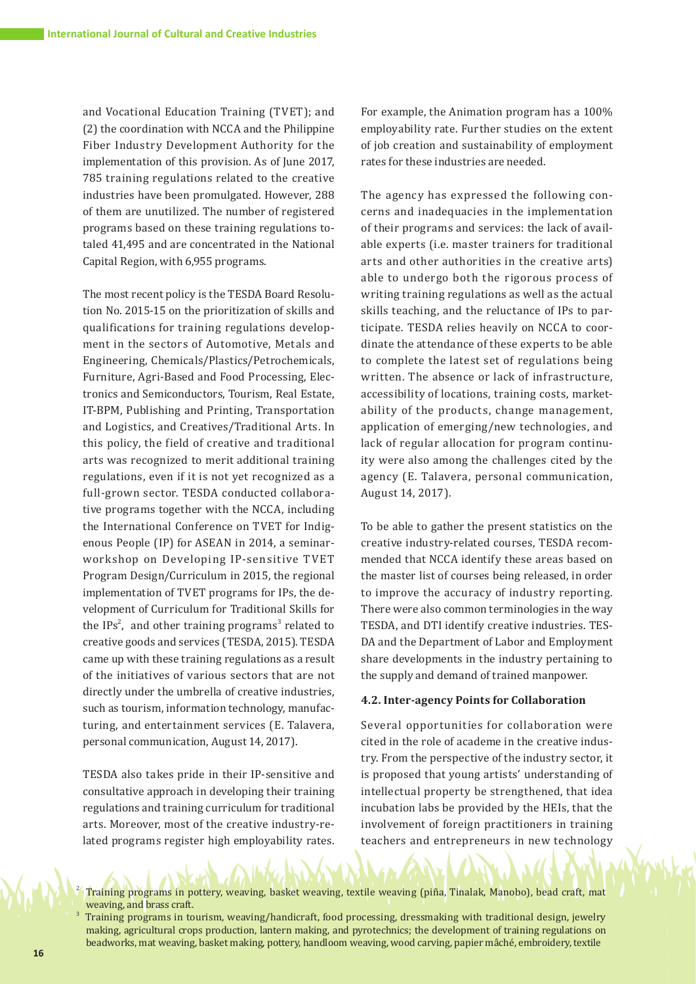and Vocational Education Training (TVET); and (2) the coordination with NCCA and the Philippine Fiber Industry Development Authority for the implementation of this provision. As of June 2017, 785 training regulations related to the creative industries have been promulgated. However, 288 of them are unutilized. The number of registered programs based on these training regulations totaled 41,495 and are concentrated in the National Capital Region, with 6,955 programs.

The most recent policy is the TESDA Board Resolution No. 2015-15 on the prioritization of skills and qualifications for training regulations development in the sectors of Automotive, Metals and Engineering, Chemicals/Plastics/Petrochemicals, Furniture, Agri-Based and Food Processing, Electronics and Semiconductors, Tourism, Real Estate, IT-BPM, Publishing and Printing, Transportation and Logistics, and Creatives/Traditional Arts. In this policy, the field of creative and traditional arts was recognized to merit additional training regulations, even if it is not yet recognized as a full-grown sector. TESDA conducted collaborative programs together with the NCCA, including the International Conference on TVET for Indigenous People (IP) for ASEAN in 2014, a seminarworkshop on Developing IP-sensitive TVET Program Design/Curriculum in 2015, the regional implementation of TVET programs for IPs, the development of Curriculum for Traditional Skills for the  $IPS<sup>2</sup>$ , and other training programs<sup>3</sup> related to creative goods and services (TESDA, 2015). TESDA came up with these training regulations as a result of the initiatives of various sectors that are not directly under the umbrella of creative industries, such as tourism, information technology, manufacturing, and entertainment services (E. Talavera, personal communication, August 14, 2017).

TESDA also takes pride in their IP-sensitive and consultative approach in developing their training regulations and training curriculum for traditional arts. Moreover, most of the creative industry-related programs register high employability rates. For example, the Animation program has a 100% employability rate. Further studies on the extent of job creation and sustainability of employment rates for these industries are needed.

The agency has expressed the following concerns and inadequacies in the implementation of their programs and services: the lack of available experts (i.e. master trainers for traditional arts and other authorities in the creative arts) able to undergo both the rigorous process of writing training regulations as well as the actual skills teaching, and the reluctance of IPs to participate. TESDA relies heavily on NCCA to coordinate the attendance of these experts to be able to complete the latest set of regulations being written. The absence or lack of infrastructure, accessibility of locations, training costs, marketability of the products, change management, application of emerging/new technologies, and lack of regular allocation for program continuity were also among the challenges cited by the agency (E. Talavera, personal communication, August 14, 2017).

To be able to gather the present statistics on the creative industry-related courses, TESDA recommended that NCCA identify these areas based on the master list of courses being released, in order to improve the accuracy of industry reporting. There were also common terminologies in the way TESDA, and DTI identify creative industries. TES-DA and the Department of Labor and Employment share developments in the industry pertaining to the supply and demand of trained manpower.

#### **4.2. Inter-agency Points for Collaboration**

Several opportunities for collaboration were cited in the role of academe in the creative industry. From the perspective of the industry sector, it is proposed that young artists' understanding of intellectual property be strengthened, that idea incubation labs be provided by the HEIs, that the involvement of foreign practitioners in training teachers and entrepreneurs in new technology

Training programs in pottery, weaving, basket weaving, textile weaving (piña, Tinalak, Manobo), bead craft, mat

2

weaving, and brass craft.<br><sup>3</sup> Training programs in tourism, weaving/handicraft, food processing, dressmaking with traditional design, jewelry making, agricultural crops production, lantern making, and pyrotechnics; the development of training regulations on beadworks, mat weaving, basket making, pottery, handloom weaving, wood carving, papier mâché, embroidery, textile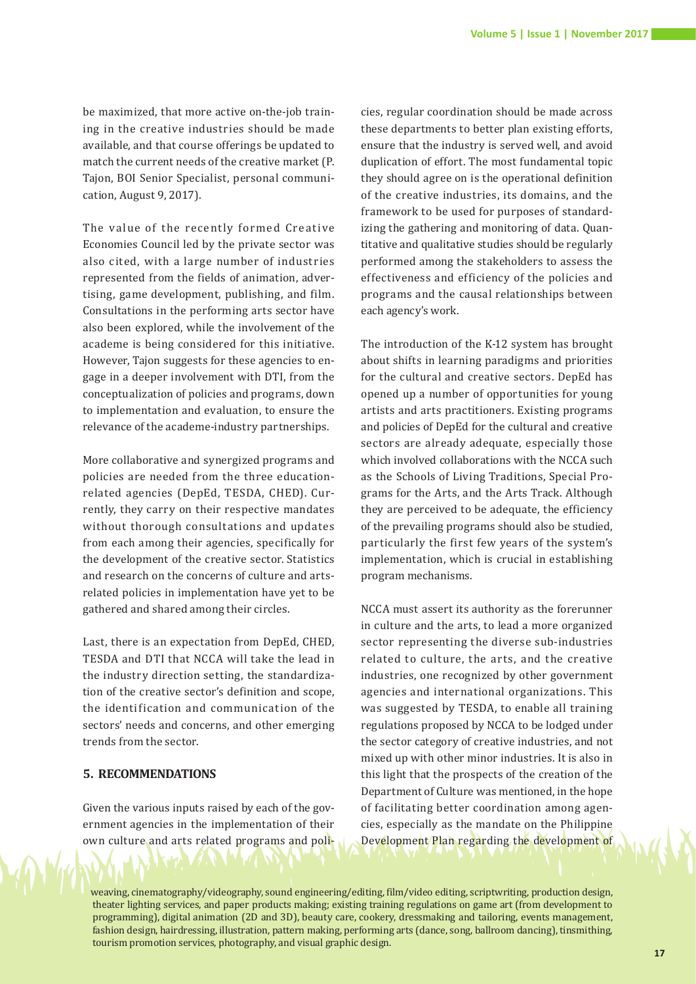be maximized, that more active on-the-job training in the creative industries should be made available, and that course offerings be updated to match the current needs of the creative market (P. Tajon, BOI Senior Specialist, personal communication, August 9, 2017).

The value of the recently formed Creative Economies Council led by the private sector was also cited, with a large number of industries represented from the fields of animation, advertising, game development, publishing, and film. Consultations in the performing arts sector have also been explored, while the involvement of the academe is being considered for this initiative. However, Tajon suggests for these agencies to engage in a deeper involvement with DTI, from the conceptualization of policies and programs, down to implementation and evaluation, to ensure the relevance of the academe-industry partnerships.

More collaborative and synergized programs and policies are needed from the three educationrelated agencies (DepEd, TESDA, CHED). Currently, they carry on their respective mandates without thorough consultations and updates from each among their agencies, specifically for the development of the creative sector. Statistics and research on the concerns of culture and artsrelated policies in implementation have yet to be gathered and shared among their circles.

Last, there is an expectation from DepEd, CHED, TESDA and DTI that NCCA will take the lead in the industry direction setting, the standardization of the creative sector's definition and scope, the identification and communication of the sectors' needs and concerns, and other emerging trends from the sector.

## **5. RECOMMENDATIONS**

Given the various inputs raised by each of the government agencies in the implementation of their own culture and arts related programs and policies, regular coordination should be made across these departments to better plan existing efforts, ensure that the industry is served well, and avoid duplication of effort. The most fundamental topic they should agree on is the operational definition of the creative industries, its domains, and the framework to be used for purposes of standardizing the gathering and monitoring of data. Quantitative and qualitative studies should be regularly performed among the stakeholders to assess the effectiveness and efficiency of the policies and programs and the causal relationships between each agency's work.

The introduction of the K-12 system has brought about shifts in learning paradigms and priorities for the cultural and creative sectors. DepEd has opened up a number of opportunities for young artists and arts practitioners. Existing programs and policies of DepEd for the cultural and creative sectors are already adequate, especially those which involved collaborations with the NCCA such as the Schools of Living Traditions, Special Programs for the Arts, and the Arts Track. Although they are perceived to be adequate, the efficiency of the prevailing programs should also be studied, particularly the first few years of the system's implementation, which is crucial in establishing program mechanisms.

NCCA must assert its authority as the forerunner in culture and the arts, to lead a more organized sector representing the diverse sub-industries related to culture, the arts, and the creative industries, one recognized by other government agencies and international organizations. This was suggested by TESDA, to enable all training regulations proposed by NCCA to be lodged under the sector category of creative industries, and not mixed up with other minor industries. It is also in this light that the prospects of the creation of the Department of Culture was mentioned, in the hope of facilitating better coordination among agencies, especially as the mandate on the Philippine Development/Plan regarding the development of

 weaving, cinematography/videography, sound engineering/editing, film/video editing, scriptwriting, production design, theater lighting services, and paper products making; existing training regulations on game art (from development to programming), digital animation (2D and 3D), beauty care, cookery, dressmaking and tailoring, events management, fashion design, hairdressing, illustration, pattern making, performing arts (dance, song, ballroom dancing), tinsmithing, tourism promotion services, photography, and visual graphic design.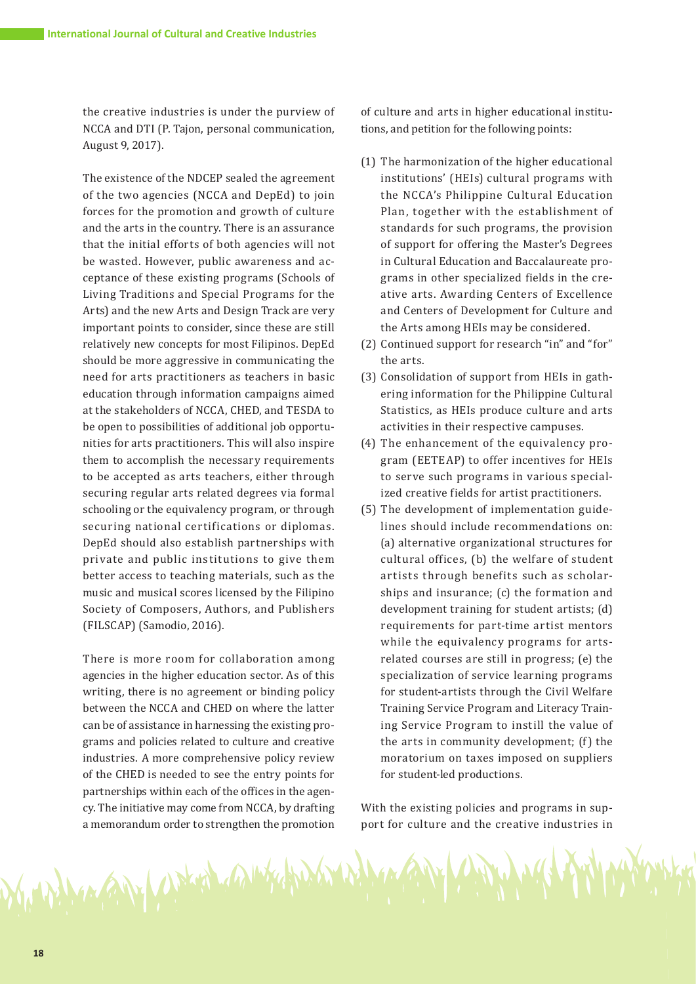the creative industries is under the purview of NCCA and DTI (P. Tajon, personal communication, August 9, 2017).

The existence of the NDCEP sealed the agreement of the two agencies (NCCA and DepEd) to join forces for the promotion and growth of culture and the arts in the country. There is an assurance that the initial efforts of both agencies will not be wasted. However, public awareness and acceptance of these existing programs (Schools of Living Traditions and Special Programs for the Arts) and the new Arts and Design Track are very important points to consider, since these are still relatively new concepts for most Filipinos. DepEd should be more aggressive in communicating the need for arts practitioners as teachers in basic education through information campaigns aimed at the stakeholders of NCCA, CHED, and TESDA to be open to possibilities of additional job opportunities for arts practitioners. This will also inspire them to accomplish the necessary requirements to be accepted as arts teachers, either through securing regular arts related degrees via formal schooling or the equivalency program, or through securing national certifications or diplomas. DepEd should also establish partnerships with private and public institutions to give them better access to teaching materials, such as the music and musical scores licensed by the Filipino Society of Composers, Authors, and Publishers (FILSCAP) (Samodio, 2016).

There is more room for collaboration among agencies in the higher education sector. As of this writing, there is no agreement or binding policy between the NCCA and CHED on where the latter can be of assistance in harnessing the existing programs and policies related to culture and creative industries. A more comprehensive policy review of the CHED is needed to see the entry points for partnerships within each of the offices in the agency. The initiative may come from NCCA, by drafting a memorandum order to strengthen the promotion

of culture and arts in higher educational institutions, and petition for the following points:

- (1) The harmonization of the higher educational institutions' (HEIs) cultural programs with the NCCA's Philippine Cultural Education Plan, together with the establishment of standards for such programs, the provision of support for offering the Master's Degrees in Cultural Education and Baccalaureate programs in other specialized fields in the creative arts. Awarding Centers of Excellence and Centers of Development for Culture and the Arts among HEIs may be considered.
- (2) Continued support for research "in" and "for" the arts.
- (3) Consolidation of support from HEIs in gathering information for the Philippine Cultural Statistics, as HEIs produce culture and arts activities in their respective campuses.
- (4) The enhancement of the equivalency program (EETEAP) to offer incentives for HEIs to serve such programs in various specialized creative fields for artist practitioners.
- (5) The development of implementation guidelines should include recommendations on: (a) alternative organizational structures for cultural offices, (b) the welfare of student artists through benefits such as scholarships and insurance; (c) the formation and development training for student artists; (d) requirements for part-time artist mentors while the equivalency programs for artsrelated courses are still in progress; (e) the specialization of service learning programs for student-artists through the Civil Welfare Training Service Program and Literacy Training Service Program to instill the value of the arts in community development; (f) the moratorium on taxes imposed on suppliers for student-led productions.

With the existing policies and programs in support for culture and the creative industries in

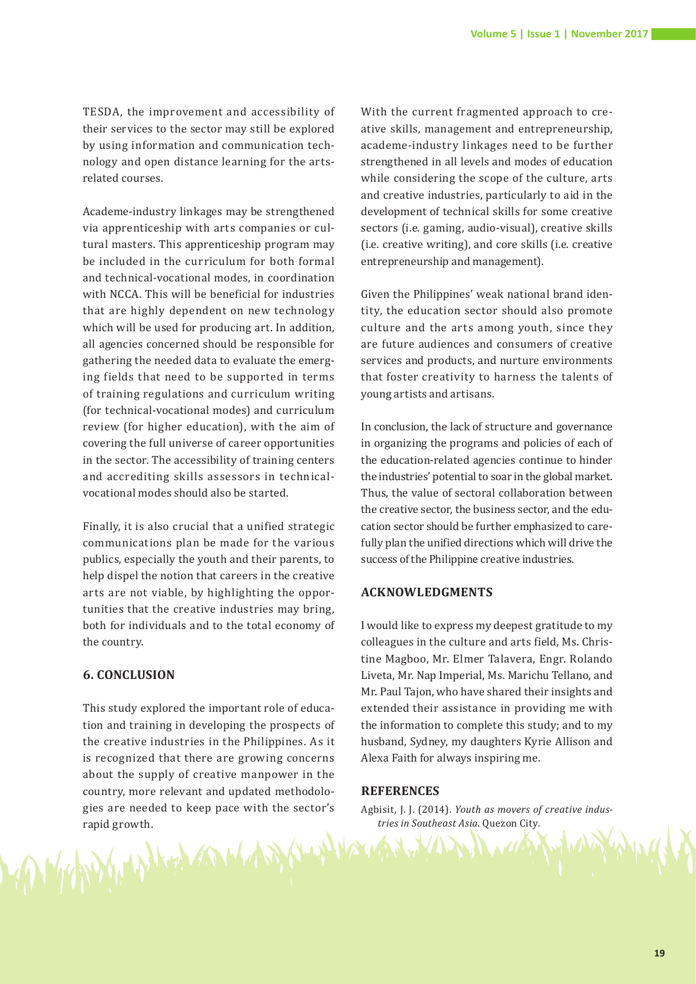TESDA, the improvement and accessibility of their services to the sector may still be explored by using information and communication technology and open distance learning for the artsrelated courses.

Academe-industry linkages may be strengthened via apprenticeship with arts companies or cultural masters. This apprenticeship program may be included in the curriculum for both formal and technical-vocational modes, in coordination with NCCA. This will be beneficial for industries that are highly dependent on new technology which will be used for producing art. In addition, all agencies concerned should be responsible for gathering the needed data to evaluate the emerging fields that need to be supported in terms of training regulations and curriculum writing (for technical-vocational modes) and curriculum review (for higher education), with the aim of covering the full universe of career opportunities in the sector. The accessibility of training centers and accrediting skills assessors in technicalvocational modes should also be started.

Finally, it is also crucial that a unified strategic communications plan be made for the various publics, especially the youth and their parents, to help dispel the notion that careers in the creative arts are not viable, by highlighting the opportunities that the creative industries may bring, both for individuals and to the total economy of the country.

## **6. CONCLUSION**

This study explored the important role of education and training in developing the prospects of the creative industries in the Philippines. As it is recognized that there are growing concerns about the supply of creative manpower in the country, more relevant and updated methodologies are needed to keep pace with the sector's rapid growth.

With the current fragmented approach to creative skills, management and entrepreneurship, academe-industry linkages need to be further strengthened in all levels and modes of education while considering the scope of the culture, arts and creative industries, particularly to aid in the development of technical skills for some creative sectors (i.e. gaming, audio-visual), creative skills (i.e. creative writing), and core skills (i.e. creative entrepreneurship and management).

Given the Philippines' weak national brand identity, the education sector should also promote culture and the arts among youth, since they are future audiences and consumers of creative services and products, and nurture environments that foster creativity to harness the talents of young artists and artisans.

In conclusion, the lack of structure and governance in organizing the programs and policies of each of the education-related agencies continue to hinder the industries' potential to soar in the global market. Thus, the value of sectoral collaboration between the creative sector, the business sector, and the education sector should be further emphasized to carefully plan the unified directions which will drive the success of the Philippine creative industries.

## **ACKNOWLEDGMENTS**

I would like to express my deepest gratitude to my colleagues in the culture and arts field, Ms. Christine Magboo, Mr. Elmer Talavera, Engr. Rolando Liveta, Mr. Nap Imperial, Ms. Marichu Tellano, and Mr. Paul Tajon, who have shared their insights and extended their assistance in providing me with the information to complete this study; and to my husband, Sydney, my daughters Kyrie Allison and Alexa Faith for always inspiring me.

#### **REFERENCES**

Agbisit, J. J. (2014). *Youth as movers of creative industries in Southeast Asia*. Quezon City.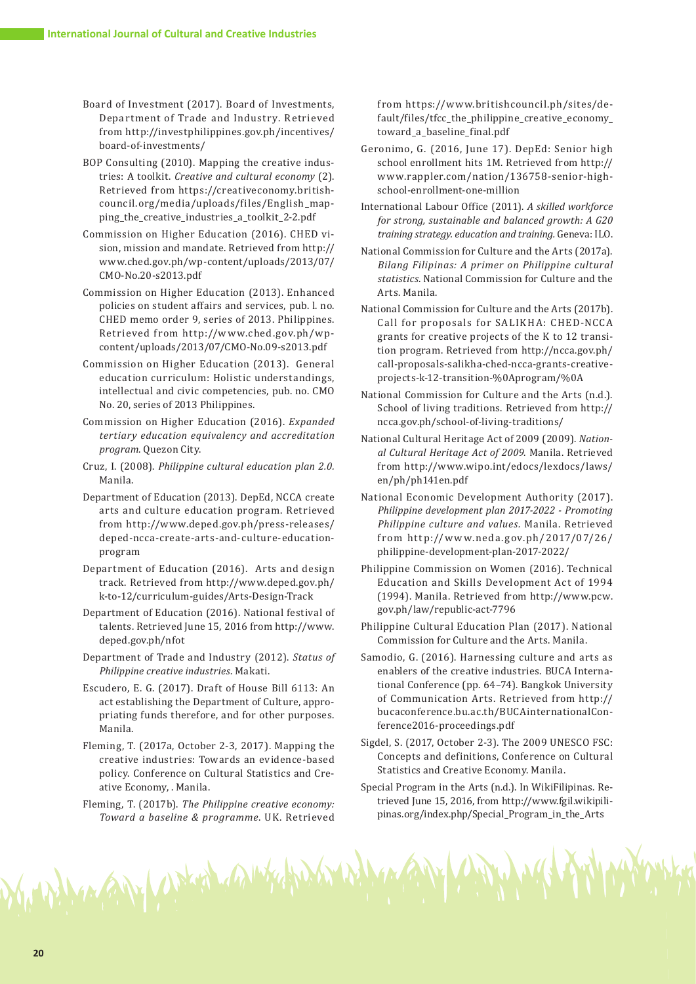- Board of Investment (2017). Board of Investments, Department of Trade and Industry. Retrieved from http://investphilippines.gov.ph/incentives/ board-of-investments/
- BOP Consulting (2010). Mapping the creative industries: A toolkit. *Creative and cultural economy* (2). Retrieved from https://creativeconomy.britishcouncil.org/media/uploads/files/English\_mapping\_the\_creative\_industries\_a\_toolkit\_2-2.pdf
- Commission on Higher Education (2016). CHED vision, mission and mandate. Retrieved from http:// www.ched.gov.ph/wp-content/uploads/2013/07/ CMO-No.20-s2013.pdf
- Commission on Higher Education (2013). Enhanced policies on student affairs and services, pub. l. no. CHED memo order 9, series of 2013. Philippines. Retrieved from http://w w w.ched.gov.ph/wpcontent/uploads/2013/07/CMO-No.09-s2013.pdf
- Commission on Higher Education (2013). General education curriculum: Holistic understandings, intellectual and civic competencies, pub. no. CMO No. 20, series of 2013 Philippines.
- Commission on Higher Education (2016). *Expanded tertiary education equivalency and accreditation program*. Quezon City.
- Cruz, I. (2008). *Philippine cultural education plan 2.0.* Manila.
- Department of Education (2013). DepEd, NCCA create arts and culture education program. Retrieved from http://www.deped.gov.ph/press-releases/ deped-ncca-create-arts-and-culture-educationprogram
- Department of Education (2016). Arts and design track. Retrieved from http://www.deped.gov.ph/ k-to-12/curriculum-guides/Arts-Design-Track
- Department of Education (2016). National festival of talents. Retrieved June 15, 2016 from http://www. deped.gov.ph/nfot
- Department of Trade and Industry (2012). *Status of Philippine creative industries*. Makati.
- Escudero, E. G. (2017). Draft of House Bill 6113: An act establishing the Department of Culture, appropriating funds therefore, and for other purposes. Manila.
- Fleming, T. (2017a, October 2-3, 2017). Mapping the creative industries: Towards an evidence-based policy. Conference on Cultural Statistics and Creative Economy, . Manila.
- Fleming, T. (2017b). *The Philippine creative economy: Toward a baseline & programme*. UK. Retrieved

Mar River Control and March

from https://www.britishcouncil.ph/sites/default/files/tfcc\_the\_philippine\_creative\_economy\_ toward\_a\_baseline\_final.pdf

- Geronimo, G. (2016, June 17). DepEd: Senior high school enrollment hits 1M. Retrieved from http:// www.rappler.com/nation/136758-senior-highschool-enrollment-one-million
- International Labour Office (2011). *A skilled workforce for strong, sustainable and balanced growth: A G20 training strategy. education and training.* Geneva: ILO.
- National Commission for Culture and the Arts (2017a). *Bilang Filipinas: A primer on Philippine cultural statistics*. National Commission for Culture and the Arts. Manila.
- National Commission for Culture and the Arts (2017b). Call for proposals for SALIKHA: CHED-NCCA grants for creative projects of the K to 12 transition program. Retrieved from http://ncca.gov.ph/ call-proposals-salikha-ched-ncca-grants-creativeprojects-k-12-transition-%0Aprogram/%0A
- National Commission for Culture and the Arts (n.d.). School of living traditions. Retrieved from http:// ncca.gov.ph/school-of-living-traditions/
- National Cultural Heritage Act of 2009 (2009). *National Cultural Heritage Act of 2009*. Manila. Retrieved from http://www.wipo.int/edocs/lexdocs/laws/ en/ph/ph141en.pdf
- National Economic Development Authority (2017). *Philippine development plan 2017-2022 - Promoting Philippine culture and values.* Manila. Retrieved from  $http://www.neda.gov.ph/2017/07/26/$ philippine-development-plan-2017-2022/
- Philippine Commission on Women (2016). Technical Education and Skills Development Act of 1994 (1994). Manila. Retrieved from http://www.pcw. gov.ph/law/republic-act-7796
- Philippine Cultural Education Plan (2017). National Commission for Culture and the Arts. Manila.
- Samodio, G. (2016). Harnessing culture and arts as enablers of the creative industries. BUCA International Conference (pp. 64–74). Bangkok University of Communication Arts. Retrieved from http:// bucaconference.bu.ac.th/BUCAinternationalConference2016-proceedings.pdf
- Sigdel, S. (2017, October 2-3). The 2009 UNESCO FSC: Concepts and definitions, Conference on Cultural Statistics and Creative Economy. Manila.
- Special Program in the Arts (n.d.). In WikiFilipinas. Retrieved June 15, 2016, from http://www.fgil.wikipilipinas.org/index.php/Special\_Program\_in\_the\_Arts